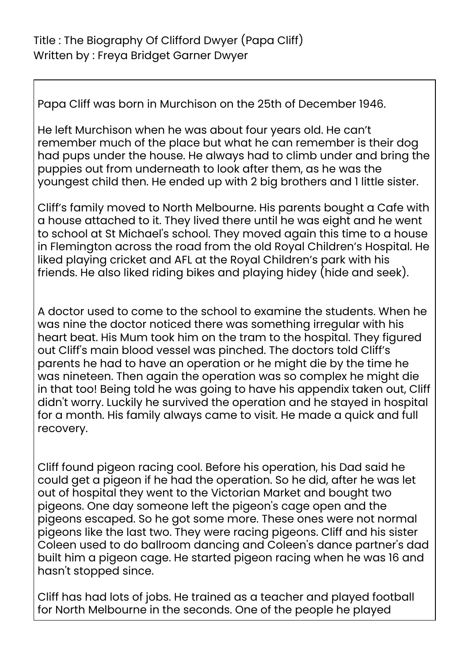Papa Cliff was born in Murchison on the 25th of December 1946.

He left Murchison when he was about four years old. He can't remember much of the place but what he can remember is their dog had pups under the house. He always had to climb under and bring the puppies out from underneath to look after them, as he was the youngest child then. He ended up with 2 big brothers and 1 little sister.

Cliff's family moved to North Melbourne. His parents bought a Cafe with a house attached to it. They lived there until he was eight and he went to school at St Michael's school. They moved again this time to a house in Flemington across the road from the old Royal Children's Hospital. He liked playing cricket and AFL at the Royal Children's park with his friends. He also liked riding bikes and playing hidey (hide and seek).

A doctor used to come to the school to examine the students. When he was nine the doctor noticed there was something irregular with his heart beat. His Mum took him on the tram to the hospital. They figured out Cliff's main blood vessel was pinched. The doctors told Cliff's parents he had to have an operation or he might die by the time he was nineteen. Then again the operation was so complex he might die in that too! Being told he was going to have his appendix taken out, Cliff didn't worry. Luckily he survived the operation and he stayed in hospital for a month. His family always came to visit. He made a quick and full recovery.

Cliff found pigeon racing cool. Before his operation, his Dad said he could get a pigeon if he had the operation. So he did, after he was let out of hospital they went to the Victorian Market and bought two pigeons. One day someone left the pigeon's cage open and the pigeons escaped. So he got some more. These ones were not normal pigeons like the last two. They were racing pigeons. Cliff and his sister Coleen used to do ballroom dancing and Coleen's dance partner's dad built him a pigeon cage. He started pigeon racing when he was 16 and hasn't stopped since.

Cliff has had lots of jobs. He trained as a teacher and played football for North Melbourne in the seconds. One of the people he played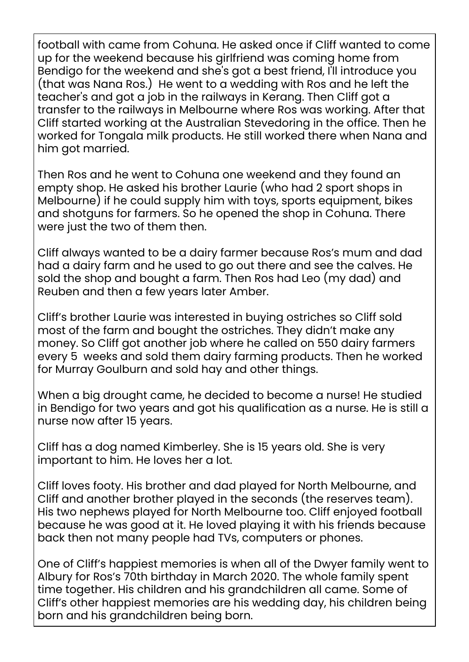football with came from Cohuna. He asked once if Cliff wanted to come up for the weekend because his girlfriend was coming home from Bendigo for the weekend and she's got a best friend, I'll introduce you (that was Nana Ros.) He went to a wedding with Ros and he left the teacher's and got a job in the railways in Kerang. Then Cliff got a transfer to the railways in Melbourne where Ros was working. After that Cliff started working at the Australian Stevedoring in the office. Then he worked for Tongala milk products. He still worked there when Nana and him got married.

Then Ros and he went to Cohuna one weekend and they found an empty shop. He asked his brother Laurie (who had 2 sport shops in Melbourne) if he could supply him with toys, sports equipment, bikes and shotguns for farmers. So he opened the shop in Cohuna. There were just the two of them then.

Cliff always wanted to be a dairy farmer because Ros's mum and dad had a dairy farm and he used to go out there and see the calves. He sold the shop and bought a farm. Then Ros had Leo (my dad) and Reuben and then a few years later Amber.

Cliff's brother Laurie was interested in buying ostriches so Cliff sold most of the farm and bought the ostriches. They didn't make any money. So Cliff got another job where he called on 550 dairy farmers every 5 weeks and sold them dairy farming products. Then he worked for Murray Goulburn and sold hay and other things.

When a big drought came, he decided to become a nurse! He studied in Bendigo for two years and got his qualification as a nurse. He is still a nurse now after 15 years.

Cliff has a dog named Kimberley. She is 15 years old. She is very important to him. He loves her a lot.

Cliff loves footy. His brother and dad played for North Melbourne, and Cliff and another brother played in the seconds (the reserves team). His two nephews played for North Melbourne too. Cliff enjoyed football because he was good at it. He loved playing it with his friends because back then not many people had TVs, computers or phones.

One of Cliff's happiest memories is when all of the Dwyer family went to Albury for Ros's 70th birthday in March 2020. The whole family spent time together. His children and his grandchildren all came. Some of Cliff's other happiest memories are his wedding day, his children being born and his grandchildren being born.